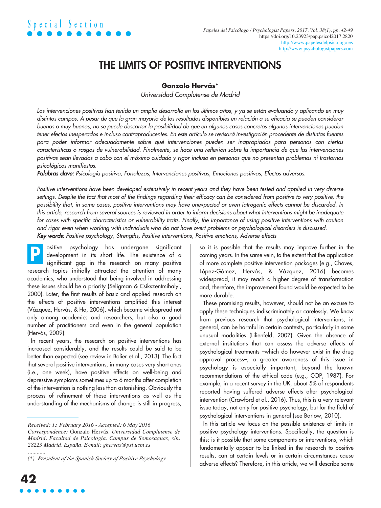## THE LIMITS OF POSITIVE INTERVENTIONS

### **Gonzalo Hervás\***

*Universidad Complutense de Madrid*

Las intervenciones positivas han tenido un amplio desarrollo en los últimos años, y ya se están evaluando y aplicando en muy distintos campos. A pesar de que la gran mayoría de los resultados disponibles en relación a su eficacia se pueden considerar buenos o muy buenos, no se puede descartar la posibilidad de que en algunos casos concretos algunas intervenciones puedan tener efectos inesperados e incluso contraproducentes. En este artículo se revisará investigación procedente de distintas fuentes *para poder informar adecuadamente sobre qué intervenciones pueden ser inapropiadas para personas con ciertas* características o rasgos de vulnerabilidad. Finalmente, se hace una reflexión sobre la importancia de que las intervenciones positivas sean llevadas a cabo con el máximo cuidado y rigor incluso en personas que no presentan problemas ni trastornos *psicológicos manifiestos.*

*Palabras clave: Psicología positiva, Fortalezas, Intervenciones positivas, Emociones positivas, Efectos adversos.*

Positive interventions have been developed extensively in recent years and they have been tested and applied in very diverse settings. Despite the fact that most of the findings regarding their efficacy can be considered from positive to very positive, the possibility that, in some cases, positive interventions may have unexpected or even iatrogenic effects cannot be discarded. In this article, research from several sources is reviewed in order to inform decisions about what interventions might be inadequate for cases with specific characteristics or vulnerability traits. Finally, the importance of using positive interventions with caution and rigor even when working with individuals who do not have overt problems or psychological disorders is discussed. *Key words: Positive psychology, Strengths, Positive interventions, Positive emotions, Adverse effects*

ositive psychology has undergone significant development in its short life. The existence of a significant gap in the research on many positive research topics initially attracted the attention of many academics, who understood that being involved in addressing these issues should be a priority (Seligman & Csikszentmihalyi, 2000). Later, the first results of basic and applied research on the effects of positive interventions amplified this interest (Vázquez, Hervás, & Ho, 2006), which became widespread not only among academics and researchers, but also a good number of practitioners and even in the general population (Hervás, 2009). P

In recent years, the research on positive interventions has increased considerably, and the results could be said to be better than expected (see review in Bolier et al., 2013). The fact that several positive interventions, in many cases very short ones (i.e., one week), have positive effects on well-being and depressive symptoms sometimes up to 6 months after completion of the intervention is nothing less than astonishing. Obviously the process of refinement of these interventions as well as the understanding of the mechanisms of change is still in progress,

so it is possible that the results may improve further in the coming years. In the same vein, to the extent that the application of more complete positive intervention packages (e.g., Chaves, López-Gómez, Hervás, & Vázquez, 2016) becomes widespread, it may reach a higher degree of transformation and, therefore, the improvement found would be expected to be more durable.

These promising results, however, should not be an excuse to apply these techniques indiscriminately or carelessly. We know from previous research that psychological interventions, in general, can be harmful in certain contexts, particularly in some unusual modalities (Lilienfeld, 2007). Given the absence of external institutions that can assess the adverse effects of psychological treatments –which do however exist in the drug approval process–, a greater awareness of this issue in psychology is especially important, beyond the known recommendations of the ethical code (e.g., COP, 1987). For example, in a recent survey in the UK, about 5% of respondents reported having suffered adverse effects after psychological intervention (Crawford et al., 2016). Thus, this is a very relevant issue today, not only for positive psychology, but for the field of psychological interventions in general (see Barlow, 2010).

In this article we focus on the possible existence of limits in positive psychology interventions. Specifically, the question is this: is it possible that some components or interventions, which fundamentally appear to be linked in the research to positive results, can at certain levels or in certain circumstances cause adverse effects? Therefore, in this article, we will describe some

*Received: 15 February 2016 - Accepted: 6 May 2016 Correspondence:* Gonzalo Hervás. *Universidad Complutense de Madrid. Facultad de Psicología. Campus de Somosaguas, s/n. 28223 Madrid. España. E-mail: ghervas@psi.ucm.es*

*<sup>............</sup> (\*) President of the Spanish Society of Positive Psychology*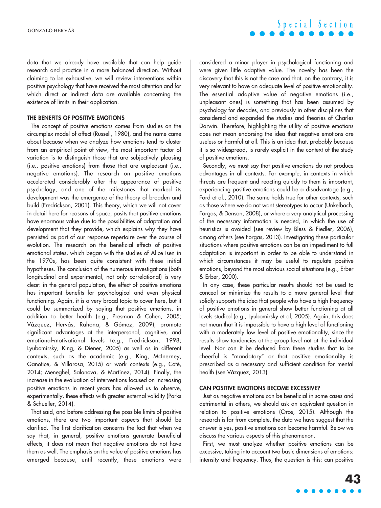data that we already have available that can help guide research and practice in a more balanced direction. Without claiming to be exhaustive, we will review interventions within positive psychology that have received the most attention and for which direct or indirect data are available concerning the existence of limits in their application.

#### THE BENEFITS OF POSITIVE EMOTIONS

The concept of positive emotions comes from studies on the circumplex model of affect (Russell, 1980), and the name came about because when we analyze how emotions tend to cluster from an empirical point of view, the most important factor of variation is to distinguish those that are subjectively pleasing (i.e., positive emotions) from those that are unpleasant (i.e., negative emotions). The research on positive emotions accelerated considerably after the appearance of positive psychology, and one of the milestones that marked its development was the emergence of the theory of broaden and build (Fredrickson, 2001). This theory, which we will not cover in detail here for reasons of space, posits that positive emotions have enormous value due to the possibilities of adaptation and development that they provide, which explains why they have persisted as part of our response repertoire over the course of evolution. The research on the beneficial effects of positive emotional states, which began with the studies of Alice Isen in the 1970s, has been quite consistent with these initial hypotheses. The conclusion of the numerous investigations (both longitudinal and experimental, not only correlational) is very clear: in the general population, the effect of positive emotions has important benefits for psychological and even physical functioning. Again, it is a very broad topic to cover here, but it could be summarized by saying that positive emotions, in addition to better health (e.g., Presman & Cohen, 2005; Vázquez, Hervás, Rahona, & Gómez, 2009), promote significant advantages at the interpersonal, cognitive, and emotional-motivational levels (e.g., Fredrickson, 1998; Lyubomirsky, King, & Diener, 2005) as well as in different contexts, such as the academic (e.g., King, McInerney, Ganotice, & Villarosa, 2015) or work contexts (e.g., Coté, 2014; Meneghel, Salanova, & Martínez, 2014). Finally, the increase in the evaluation of interventions focused on increasing positive emotions in recent years has allowed us to observe, experimentally, these effects with greater external validity (Parks & Schueller, 2014).

That said, and before addressing the possible limits of positive emotions, there are two important aspects that should be clarified. The first clarification concerns the fact that when we say that, in general, positive emotions generate beneficial effects, it does not mean that negative emotions do not have them as well. The emphasis on the value of positive emotions has emerged because, until recently, these emotions were considered a minor player in psychological functioning and were given little adaptive value. The novelty has been the discovery that this is not the case and that, on the contrary, it is very relevant to have an adequate level of positive emotionality. The essential adaptive value of negative emotions (i.e., unpleasant ones) is something that has been assumed by psychology for decades, and previously in other disciplines that considered and expanded the studies and theories of Charles Darwin. Therefore, highlighting the utility of positive emotions does not mean endorsing the idea that negative emotions are useless or harmful at all. This is an idea that, probably because it is so widespread, is rarely explicit in the context of the study of positive emotions.

Secondly, we must say that positive emotions do not produce advantages in all contexts. For example, in contexts in which threats are frequent and reacting quickly to them is important, experiencing positive emotions could be a disadvantage (e.g., Ford et al., 2010). The same holds true for other contexts, such as those where we do not want stereotypes to occur (Unkelbach, Forgas, & Denson, 2008), or where a very analytical processing of the necessary information is needed, in which the use of heuristics is avoided (see review by Bless & Fiedler, 2006), among others (see Forgas, 2013). Investigating these particular situations where positive emotions can be an impediment to full adaptation is important in order to be able to understand in which circumstances it may be useful to regulate positive emotions, beyond the most obvious social situations (e.g., Erber & Erber, 2000).

In any case, these particular results should not be used to conceal or minimize the results to a more general level that solidly supports the idea that people who have a high frequency of positive emotions in general show better functioning at all levels studied (e.g., Lyubomirsky et al, 2005). Again, this does not mean that it is impossible to have a high level of functioning with a moderately low level of positive emotionality, since the results show tendencies at the group level not at the individual level. Nor can it be deduced from these studies that to be cheerful is "mandatory" or that positive emotionality is prescribed as a necessary and sufficient condition for mental health (see Vázquez, 2013).

#### CAN POSITIVE EMOTIONS BECOME EXCESSIVE?

Just as negative emotions can be beneficial in some cases and detrimental in others, we should ask an equivalent question in relation to positive emotions (Oros, 2015). Although the research is far from complete, the data we have suggest that the answer is yes, positive emotions can become harmful. Below we discuss the various aspects of this phenomenon.

First, we must analyze whether positive emotions can be excessive, taking into account two basic dimensions of emotions: intensity and frequency. Thus, the question is this: can positive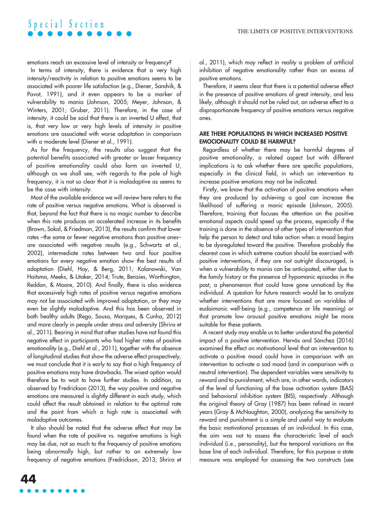emotions reach an excessive level of intensity or frequency?

In terms of intensity, there is evidence that a very high intensity/reactivity in relation to positive emotions seems to be associated with poorer life satisfaction (e.g., Diener, Sandvik, & Pavot, 1991), and it even appears to be a marker of vulnerability to mania (Johnson, 2005; Meyer, Johnson, & Winters, 2001; Gruber, 2011). Therefore, in the case of intensity, it could be said that there is an inverted U effect, that is, that very low or very high levels of intensity in positive emotions are associated with worse adaptation in comparison with a moderate level (Diener et al., 1991).

As for the frequency, the results also suggest that the potential benefits associated with greater or lesser frequency of positive emotionality could also form an inverted U, although as we shall see, with regards to the pole of high frequency, it is not so clear that it is maladaptive as seems to be the case with intensity.

Most of the available evidence we will review here refers to the rate of positive versus negative emotions. What is observed is that, beyond the fact that there is no magic number to describe when this rate produces an accelerated increase in its benefits (Brown, Sokal, & Friedman, 2013), the results confirm that lower rates -the same or fewer negative emotions than positive onesare associated with negative results (e.g., Schwartz et al., 2002), intermediate rates between two and four positive emotions for every negative emotion show the best results of adaptation (Diehl, Hay, & Berg, 2011; Kolanowski, Van Haitsma, Meeks, & Litaker, 2014; Trute, Benzies, Worthington, Reddon, & Moore, 2010). And finally, there is also evidence that excessively high rates of positive versus negative emotions may not be associated with improved adaptation, or they may even be slightly maladaptive. And this has been observed in both healthy adults (Rego, Sousa, Marques, & Cunha, 2012) and more clearly in people under stress and adversity (Shrira et al., 2011). Bearing in mind that other studies have not found this negative effect in participants who had higher rates of positive emotionality (e.g., Diehl et al., 2011), together with the absence of longitudinal studies that show the adverse effect prospectively, we must conclude that it is early to say that a high frequency of positive emotions may have drawbacks. The wisest option would therefore be to wait to have further studies. In addition, as observed by Fredrickson (2013), the way positive and negative emotions are measured is slightly different in each study, which could affect the result obtained in relation to the optimal rate and the point from which a high rate is associated with maladaptive outcomes.

It also should be noted that the adverse effect that may be found when the rate of positive vs. negative emotions is high may be due, not so much to the frequency of positive emotions being abnormally high, but rather to an extremely low frequency of negative emotions (Fredrickson, 2013; Shrira et al., 2011), which may reflect in reality a problem of artificial inhibition of negative emotionality rather than an excess of positive emotions.

Therefore, it seems clear that there is a potential adverse effect in the presence of positive emotions of great intensity, and less likely, although it should not be ruled out, an adverse effect to a disproportionate frequency of positive emotions versus negative ones.

### ARE THERE POPULATIONS IN WHICH INCREASED POSITIVE EMOCIONALITY COULD BE HARMFUL?

Regardless of whether there may be harmful degrees of positive emotionality, a related aspect but with different implications is to ask whether there are specific populations, especially in the clinical field, in which an intervention to increase positive emotions may not be indicated.

Firstly, we know that the activation of positive emotions when they are produced by achieving a goal can increase the likelihood of suffering a manic episode (Johnson, 2005). Therefore, training that focuses the attention on the positive emotional aspects could speed up the process, especially if the training is done in the absence of other types of intervention that help the person to detect and take action when a mood begins to be dysregulated toward the positive. Therefore probably the clearest case in which extreme caution should be exercised with positive interventions, if they are not outright discouraged, is when a vulnerability to mania can be anticipated, either due to the family history or the presence of hypomanic episodes in the past, a phenomenon that could have gone unnoticed by the individual. A question for future research would be to analyze whether interventions that are more focused on variables of eudaimonic well-being (e.g., competence or life meaning) or that promote low arousal positive emotions might be more suitable for these patients.

A recent study may enable us to better understand the potential impact of a positive intervention. Hervás and Sánchez (2016) examined the effect on motivational level that an intervention to activate a positive mood could have in comparison with an intervention to activate a sad mood (and in comparison with a neutral intervention). The dependent variables were sensitivity to reward and to punishment, which are, in other words, indicators of the level of functioning of the base activation system (BAS) and behavioral inhibition system (BIS), respectively. Although the original theory of Gray (1987) has been refined in recent years (Gray & McNaughton, 2000), analyzing the sensitivity to reward and punishment is a simple and useful way to evaluate the basic motivational processes of an individual. In this case, the aim was not to assess the characteristic level of each individual (i.e., personality), but the temporal variations on the base line of each individual. Therefore, for this purpose a state measure was employed for assessing the two constructs (see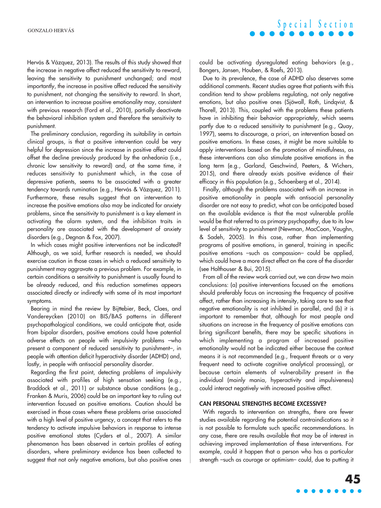Hervás & Vázquez, 2013). The results of this study showed that the increase in negative affect reduced the sensitivity to reward, leaving the sensitivity to punishment unchanged; and most importantly, the increase in positive affect reduced the sensitivity to punishment, not changing the sensitivity to reward. In short, an intervention to increase positive emotionality may, consistent with previous research (Ford et al., 2010), partially deactivate the behavioral inhibition system and therefore the sensitivity to punishment.

The preliminary conclusion, regarding its suitability in certain clinical groups, is that a positive intervention could be very helpful for depression since the increase in positive affect could offset the decline previously produced by the anhedonia (i.e., chronic low sensitivity to reward) and, at the same time, it reduces sensitivity to punishment which, in the case of depressive patients, seems to be associated with a greater tendency towards rumination (e.g., Hervás & Vázquez, 2011). Furthermore, these results suggest that an intervention to increase the positive emotions also may be indicated for anxiety problems, since the sensitivity to punishment is a key element in activating the alarm system, and the inhibition traits in personality are associated with the development of anxiety disorders (e.g., Degnan & Fox, 2007).

In which cases might positive interventions not be indicated? Although, as we said, further research is needed, we should exercise caution in those cases in which a reduced sensitivity to punishment may aggravate a previous problem. For example, in certain conditions a sensitivity to punishment is usually found to be already reduced, and this reduction sometimes appears associated directly or indirectly with some of its most important symptoms.

Bearing in mind the review by Bijttebier, Beck, Claes, and Vandereycken (2010) on BIS/BAS patterns in different psychopathological conditions, we could anticipate that, aside from bipolar disorders, positive emotions could have potential adverse effects on people with impulsivity problems –who present a component of reduced sensitivity to punishment–, in people with attention deficit hyperactivity disorder (ADHD) and, lastly, in people with antisocial personality disorder.

Regarding the first point, detecting problems of impulsivity associated with profiles of high sensation seeking (e.g., Braddock et al., 2011) or substance abuse conditions (e.g., Franken & Muris, 2006) could be an important key to ruling out intervention focused on positive emotions. Caution should be exercised in those cases where these problems arise associated with a high level of positive urgency, a concept that refers to the tendency to activate impulsive behaviors in response to intense positive emotional states (Cyders et al., 2007). A similar phenomenon has been observed in certain profiles of eating disorders, where preliminary evidence has been collected to suggest that not only negative emotions, but also positive ones could be activating dysregulated eating behaviors (e.g., Bongers, Jansen, Houben, & Roefs, 2013).

Due to its prevalence, the case of ADHD also deserves some additional comments. Recent studies agree that patients with this condition tend to show problems regulating, not only negative emotions, but also positive ones (Sjöwall, Roth, Lindqvist, & Thorell, 2013). This, coupled with the problems these patients have in inhibiting their behavior appropriately, which seems partly due to a reduced sensitivity to punishment (e.g., Quay, 1997), seems to discourage, a priori, an intervention based on positive emotions. In these cases, it might be more suitable to apply interventions based on the promotion of mindfulness, as these interventions can also stimulate positive emotions in the long term (e.g., Garland, Geschwind, Peeters, & Wichers, 2015), and there already exists positive evidence of their efficacy in this population (e.g., Schoenberg et al., 2014).

Finally, although the problems associated with an increase in positive emotionality in people with antisocial personality disorder are not easy to predict, what can be anticipated based on the available evidence is that the most vulnerable profile would be that referred to as primary psychopathy, due to its low level of sensitivity to punishment (Newman, MacCoon, Vaughn, & Sadeh, 2005). In this case, rather than implementing programs of positive emotions, in general, training in specific positive emotions –such as compassion– could be applied, which could have a more direct effect on the core of the disorder (see Holthouser & Bui, 2015).

From all of the review work carried out, we can draw two main conclusions: (a) positive interventions focused on the emotions should preferably focus on increasing the frequency of positive affect, rather than increasing its intensity, taking care to see that negative emotionality is not inhibited in parallel, and (b) it is important to remember that, although for most people and situations an increase in the frequency of positive emotions can bring significant benefits, there may be specific situations in which implementing a program of increased positive emotionality would not be indicated either because the context means it is not recommended (e.g., frequent threats or a very frequent need to activate cognitive analytical processing), or because certain elements of vulnerability present in the individual (mainly mania, hyperactivity and impulsiveness) could interact negatively with increased positive affect.

### CAN PERSONAL STRENGTHS BECOME EXCESSIVE?

With regards to intervention on strengths, there are fewer studies available regarding the potential contraindications so it is not possible to formulate such specific recommendations. In any case, there are results available that may be of interest in achieving improved implementation of these interventions. For example, could it happen that a person who has a particular strength –such as courage or optimism– could, due to putting it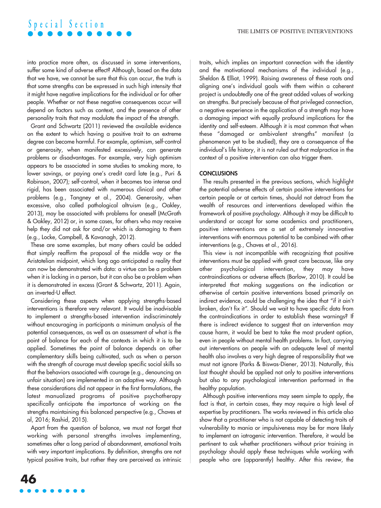into practice more often, as discussed in some interventions, suffer some kind of adverse effect? Although, based on the data that we have, we cannot be sure that this can occur, the truth is that some strengths can be expressed in such high intensity that it might have negative implications for the individual or for other people. Whether or not these negative consequences occur will depend on factors such as context, and the presence of other personality traits that may modulate the impact of the strength.

Grant and Schwartz (2011) reviewed the available evidence on the extent to which having a positive trait to an extreme degree can become harmful. For example, optimism, self-control or generosity, when manifested excessively, can generate problems or disadvantages. For example, very high optimism appears to be associated in some studies to smoking more, to lower savings, or paying one's credit card late (e.g., Puri & Robinson, 2007); self-control, when it becomes too intense and rigid, has been associated with numerous clinical and other problems (e.g., Tangney et al., 2004). Generosity, when excessive, also called pathological altruism (e.g., Oakley, 2013), may be associated with problems for oneself (McGrath & Oakley, 2012) or, in some cases, for others who may receive help they did not ask for and/or which is damaging to them (e.g., Locke, Campbell, & Kavanagh, 2012).

These are some examples, but many others could be added that simply reaffirm the proposal of the middle way or the Aristotelian midpoint, which long ago anticipated a reality that can now be demonstrated with data: a virtue can be a problem when it is lacking in a person, but it can also be a problem when it is demonstrated in excess (Grant & Schwartz, 2011). Again, an inverted-U effect.

Considering these aspects when applying strengths-based interventions is therefore very relevant. It would be inadvisable to implement a strengths-based intervention indiscriminately without encouraging in participants a minimum analysis of the potential consequences, as well as an assessment of what is the point of balance for each of the contexts in which it is to be applied. Sometimes the point of balance depends on other complementary skills being cultivated, such as when a person with the strength of courage must develop specific social skills so that the behaviors associated with courage (e.g., denouncing an unfair situation) are implemented in an adaptive way. Although these considerations did not appear in the first formulations, the latest manualized programs of positive psychotherapy specifically anticipate the importance of working on the strengths maintaining this balanced perspective (e.g., Chaves et al, 2016; Rashid, 2015).

Apart from the question of balance, we must not forget that working with personal strengths involves implementing, sometimes after a long period of abandonment, emotional traits with very important implications. By definition, strengths are not typical positive traits, but rather they are perceived as intrinsic traits, which implies an important connection with the identity and the motivational mechanisms of the individual (e.g., Sheldon & Elliot, 1999). Raising awareness of these roots and aligning one's individual goals with them within a coherent project is undoubtedly one of the great added values of working on strengths. But precisely because of that privileged connection, a negative experience in the application of a strength may have a damaging impact with equally profound implications for the identity and self-esteem. Although it is most common that when these "damaged or ambivalent strengths" manifest (a phenomenon yet to be studied), they are a consequence of the individual's life history, it is not ruled out that malpractice in the context of a positive intervention can also trigger them.

### **CONCLUSIONS**

The results presented in the previous sections, which highlight the potential adverse effects of certain positive interventions for certain people or at certain times, should not detract from the wealth of resources and interventions developed within the framework of positive psychology. Although it may be difficult to understand or accept for some academics and practitioners, positive interventions are a set of extremely innovative interventions with enormous potential to be combined with other interventions (e.g., Chaves et al., 2016).

This view is not incompatible with recognizing that positive interventions must be applied with great care because, like any other psychological intervention, they may have contraindications or adverse effects (Barlow, 2010). It could be interpreted that making suggestions on the indication or otherwise of certain positive interventions based primarily on indirect evidence, could be challenging the idea that "if it ain't broken, don't fix it*"*. Should we wait to have specific data from the contraindications in order to establish these warnings? If there is indirect evidence to suggest that an intervention may cause harm, it would be best to take the most prudent option, even in people without mental health problems. In fact, carrying out interventions on people with an adequate level of mental health also involves a very high degree of responsibility that we must not ignore (Parks & Biswas-Diener, 2013). Naturally, this last thought should be applied not only to positive interventions but also to any psychological intervention performed in the healthy population.

Although positive interventions may seem simple to apply, the fact is that, in certain cases, they may require a high level of expertise by practitioners. The works reviewed in this article also show that a practitioner who is not capable of detecting traits of vulnerability to mania or impulsiveness may be far more likely to implement an iatrogenic intervention. Therefore, it would be pertinent to ask whether practitioners without prior training in psychology should apply these techniques while working with people who are (apparently) healthy. After this review, the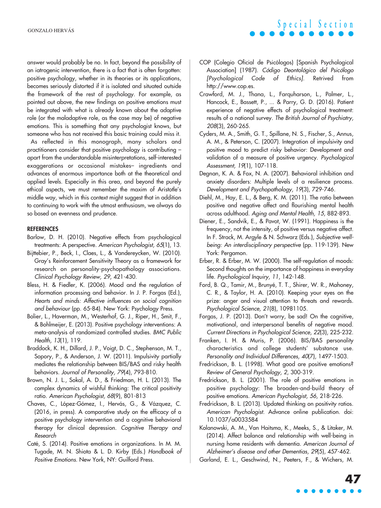answer would probably be no. In fact, beyond the possibility of an iatrogenic intervention, there is a fact that is often forgotten: positive psychology, whether in its theories or its applications, becomes seriously distorted if it is isolated and situated outside the framework of the rest of psychology. For example, as pointed out above, the new findings on positive emotions must be integrated with what is already known about the adaptive role (or the maladaptive role, as the case may be) of negative emotions. This is something that any psychologist knows, but someone who has not received this basic training could miss it.

As reflected in this monograph, many scholars and practitioners consider that positive psychology is contributing – apart from the understandable misinterpretations, self-interested exaggerations or occasional mistakes– ingredients and advances of enormous importance both at the theoretical and applied levels. Especially in this area, and beyond the purely ethical aspects, we must remember the maxim of Aristotle's middle way, which in this context might suggest that in addition to continuing to work with the utmost enthusiasm, we always do so based on evenness and prudence.

#### REFERENCES

- Barlow, D. H. (2010). Negative effects from psychological treatments: A perspective. *American Psychologist, 65*(1), 13.
- Bijttebier, P., Beck, I., Claes, L., & Vandereycken, W. (2010). Gray's Reinforcement Sensitivity Theory as a framework for research on personality-psychopathology associations. *Clinical Psychology Review, 29*, 421-430.
- Bless, H. & Fiedler, K. (2006). Mood and the regulation of information processing and behavior. In J. P. Forgas (Ed.), *Hearts and minds: Affective influences on social cognition and behaviour* (pp. 65-84). New York: Psychology Press.
- Bolier, L., Haverman, M., Westerhof, G. J., Riper, H., Smit, F., & Bohlmeijer, E. (2013). Positive psychology interventions: A meta-analysis of randomized controlled studies. *BMC Public Health, 13*(1), 119.
- Braddock, K. H., Dillard, J. P., Voigt, D. C., Stephenson, M. T., Sopory, P., & Anderson, J. W. (2011). Impulsivity partially mediates the relationship between BIS/BAS and risky health behaviors. *Journal of Personality, 79*(4), 793-810.
- Brown, N. J. L., Sokal, A. D., & Friedman, H. L. (2013). The complex dynamics of wishful thinking: The critical positivity ratio. *American Psychologist, 68*(9), 801-813
- Chaves, C., López-Gómez, I., Hervás, G., & Vázquez, C. (2016, in press). A comparative study on the efficacy of a positive psychology intervention and a cognitive behavioral therapy for clinical depression. *Cognitive Therapy and Research*
- Caté, S. (2014). Positive emotions in organizations. In M. M. Tugade, M. N. Shiota & L. D. Kirby (Eds.) *Handbook of Positive Emotions*. New York, NY: Guilford Press.

COP (Colegio Oficial de Psicólogos) [Spanish Psychological Association] (1987). *Código Deontológico del Psicólogo [Psychological Code of Ethics].* Retrived from [http://www.cop.es.](http://www.cop.es)

**S p e c i a l S e c t i o n**

- Crawford, M. J., Thana, L., Farquharson, L., Palmer, L., Hancock, E., Bassett, P., ... & Parry, G. D. (2016). Patient experience of negative effects of psychological treatment: results of a national survey. *The British Journal of Psychiatry, 208*(3), 260-265.
- Cyders, M. A., Smith, G. T., Spillane, N. S., Fischer, S., Annus, A. M., & Peterson, C. (2007). Integration of impulsivity and positive mood to predict risky behavior: Development and validation of a measure of positive urgency. *Psychological Assessment, 19*(1), 107-118.
- Degnan, K. A. & Fox, N. A. (2007). Behavioral inhibition and anxiety disorders: Multiple levels of a resilience process. *Development and Psychopathology, 19*(3), 729-746.
- Diehl, M., Hay, E. L., & Berg, K. M. (2011). The ratio between positive and negative affect and flourishing mental health across adulthood. *Aging and Mental Health, 15*, 882-893.
- Diener, E., Sandvik, E., & Pavot, W. (1991). Happiness is the frequency, not the intensity, of positive versus negative affect. In F. Strack, M. Argyle & N. Schwarz (Eds.), *Subjective wellbeing: An interdisciplinary perspective* (pp. 119-139). New York: Pergamon.
- Erber, R. & Erber, M. W. (2000). The self-regulation of moods: Second thoughts on the importance of happiness in everyday life. *Psychological Inquiry, 11*, 142-148.
- Ford, B. Q., Tamir, M., Brunyé, T. T., Shirer, W. R., Mahoney, C. R., & Taylor, H. A. (2010). Keeping your eyes on the prize: anger and visual attention to threats and rewards. *Psychological Science, 21*(8), 10981105.
- Forgas, J. P. (2013). Don't worry, be sad! On the cognitive, motivational, and interpersonal benefits of negative mood. *Current Directions in Psychological Science, 22*(3), 225-232.
- Franken, I. H. & Muris, P. (2006). BIS/BAS personality characteristics and college students' substance use. *Personality and Individual Differences, 40*(7), 1497-1503.
- Fredrickson, B. L. (1998). What good are positive emotions? *Review of General Psychology, 2*, 300-319.
- Fredrickson, B. L. (2001). The role of positive emotions in positive psychology: The broaden-and-build theory of positive emotions. *American Psychologist, 56*, 218-226.
- Fredrickson, B. L. (2013). Updated thinking on positivity ratios. *American Psychologist*. Advance online publication. doi: 10.1037/a0033584
- Kolanowski, A. M., Van Haitsma, K., Meeks, S., & Litaker, M. (2014). Affect balance and relationship with well-being in nursing home residents with dementia. *American Journal of Alzheimer's disease and other Dementias, 29*(5), 457-462.
- Garland, E. L., Geschwind, N., Peeters, F., & Wichers, M.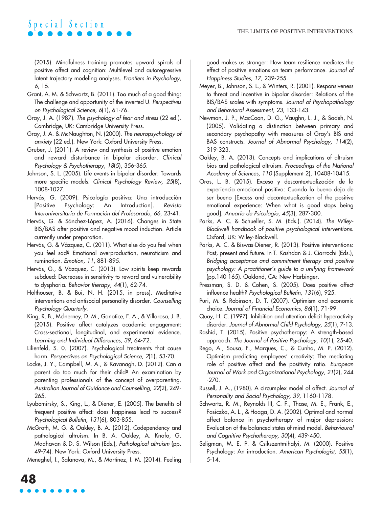(2015). Mindfulness training promotes upward spirals of positive affect and cognition: Multilevel and autoregressive latent trajectory modeling analyses. *Frontiers in Psychology, 6*, 15.

- Grant, A. M. & Schwartz, B. (2011). Too much of a good thing: The challenge and opportunity of the inverted U. *Perspectives on Psychological Science, 6*(1), 61-76.
- Gray, J. A. (1987). *The psychology of fear and stress* (22 ed.). Cambridge, UK: Cambridge University Press.
- Gray, J. A. & McNaughton, N. (2000). *The neuropsychology of anxiety* (22 ed.). New York: Oxford University Press.
- Gruber, J. (2011). A review and synthesis of positive emotion and reward disturbance in bipolar disorder. *Clinical Psychology & Psychotherapy, 18*(5), 356-365.
- Johnson, S. L. (2005). Life events in bipolar disorder: Towards more specific models. *Clinical Psychology Review, 25*(8), 1008-1027.
- Hervás, G. (2009). Psicología positiva: Una introducción [Positive Psychology: An Introduction]. *Revista Interuniversitaria de Formación del Profesorado, 66*, 23-41.
- Hervás, G. & Sánchez-López, A. (2016). Changes in State BIS/BAS after positive and negative mood induction. Article currently under preparation.
- Hervás, G. & Vázquez, C. (2011). What else do you feel when you feel sad? Emotional overproduction, neuroticism and rumination. *Emotion, 11*, 881-895.
- Hervás, G., & Vázquez, C. (2013). Low spirits keep rewards subdued: Decreases in sensitivity to reward and vulnerability to dysphoria. *Behavior therapy, 44*(1), 62-74.
- Holthouser, B. & Bui, N. H. (2015, in press). Meditative interventions and antisocial personality disorder. *Counselling Psychology Quarterly.*
- King, R. B., Mclnerney, D. M., Ganotice, F. A., & Villarosa, J. B. (2015). Positive affect catalyzes academic engagement: Cross-sectional, longitudinal, and experimental evidence. *Learning and Individual Differences, 39*, 64-72.
- Lilienfeld, S. 0. (2007). Psychological treatments that cause harm. *Perspectives on Psychological Science, 2*(1), 53-70.
- Locke, J. Y., Campbell, M. A., & Kavanagh, D. (2012). Can a parent do too much for their child? An examination by parenting professionals of the concept of overparenting. *Australian Journal of Guidance and Counselling, 22*(2), 249- 265.
- Lyubomirsky, S., King, L., & Diener, E. (2005). The benefits of frequent positive affect: does happiness lead to success? *Psychological Bulletin, 131*(6), 803-855.
- McGrath, M. G. & Oakley, B. A. (2012). Codependency and pathological altruism. In B. A. Oakley, A. Knafo, G. Madhavan & D. S. Wilson (Eds.), *Pathological altruism* (pp. 49-74). New York: Oxford University Press.

Meneghel, I., Salanova, M., & Martínez, I. M. (2014). Feeling

good makes us stronger: How team resilience mediates the effect of positive emotions on team performance. *Journal of Happiness Studies, 17*, 239-255.

- Meyer, B., Johnson, S. L., & Winters, R. (2001). Responsiveness to threat and incentive in bipolar disorder: Relations of the BIS/BAS scales with symptoms. *Journal of Psychopathology and Behavioral Assessment, 23*, 133-143.
- Newman, J. P., MacCoon, D. G., Vaughn, L. J., & Sadeh, N. (2005). Validating a distinction between primary and secondary psychopathy with measures of Gray's BIS and BAS constructs. *Journal of Abnormal Psychology, 114*(2), 319-323.
- Oakley, B. A. (2013). Concepts and implications of altruism bias and pathological altruism. *Proceedings of the National Academy of Sciences, 110* (Supplement 2), 10408-10415.
- Oros, L. B. (2015). Exceso y descontextualización de la experiencia emocional positiva: Cuando lo bueno deja de ser bueno [Excess and decontextualization of the positive emotional experience: When what is good stops being good]. *Anuario de Psicología, 45*(3), 287-300.
- Parks, A. C. & Schueller, S. M. (Eds.). (2014). *The Wiley-Blackwell handbook of positive psychological interventions*. Oxford, UK: Wiley-Blackwell.
- Parks, A. C. & Biswas-Diener, R. (2013). Positive interventions: Past, present and future. In T. Kashdan & J. Ciarrochi (Eds.), *Bridging acceptance and commitment therapy and positive psychology: A practitioner's guide to a unifying framework* (pp.140 165). Oakland, CA: New Harbinger.
- Pressman, S. D. & Cohen, S. (2005). Does positive affect influence health? *Psychological Bulletin, 131*(6), 925.
- Puri, M. & Robinson, D. T. (2007). Optimism and economic choice. *Journal of Financial Economics, 86*(1), 71-99.
- Quay, H. C. (1997). Inhibition and attention deficit hyperactivity disorder. *Journal of Abnormal Child Psychology, 25*(1), 7-13.
- Rashid, T. (2015). Positive psychotherapy: A strength-based approach. *The Journal of Positive Psychology, 10*(1), 25-40.
- Rego, A., Sousa, F., Marques, C., & Cunha, M. P. (2012). Optimism predicting employees' creativity: The mediating role of positive affect and the positivity ratio. *European Journal of Work and Organizational Psychology, 21*(2), 244 -270.
- Russell, J. A., (1980). A circumplex model of affect. *Journal of Personality and Social Psychology, 39*, 1160-1178.
- Schwartz, R. M., Reynolds III, C. F., Thase, M. E., Frank, E., Fasiczka, A. L., & Haaga, D. A. (2002). Optimal and normal affect balance in psychotherapy of major depression: Evaluation of the balanced states of mind model. *Behavioural and Cognitive Psychotherapy, 30*(4), 439-450.
- Seligman, M. E. P. & Csikszentmihalyi, M. (2000). Positive Psychology: An introduction. *American Psychologist, 55*(1), 5-14.